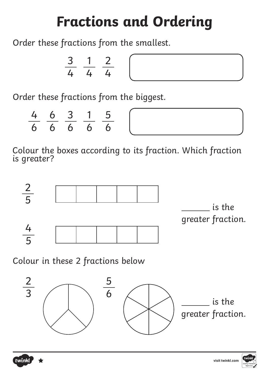Order these fractions from the smallest.

$$
\frac{3}{4} \frac{1}{4} \frac{2}{4}
$$

Order these fractions from the biggest.

|  | 4 6 3 1 5 |  |
|--|-----------|--|
|  | 6 6 6 6 6 |  |





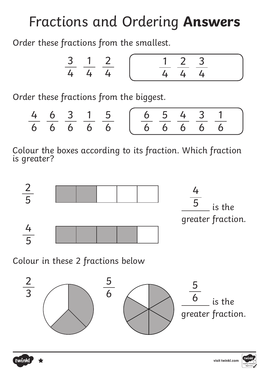Order these fractions from the smallest.

$$
\frac{3}{4} \quad \frac{1}{4} \quad \frac{2}{4} \quad \left( \frac{1}{4} \quad \frac{2}{4} \quad \frac{3}{4} \quad \right)
$$

Order these fractions from the biggest.

|  |  | 4 6 3 1 5 ( 6 5 4 3 1 |  |  |  |
|--|--|-----------------------|--|--|--|
|  |  | 6 6 6 6 6 6 6 6 6 6 6 |  |  |  |





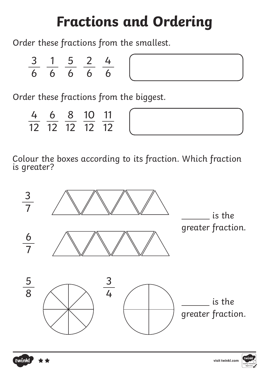Order these fractions from the smallest.

| $\mathcal{R}$ |   |                | $\overline{\phantom{a}}$ |  |
|---------------|---|----------------|--------------------------|--|
| 6             | 6 | 6 <sup>1</sup> | 6 <sup>1</sup>           |  |

| the control of the control of the |  |  |
|-----------------------------------|--|--|
|                                   |  |  |
|                                   |  |  |
|                                   |  |  |
|                                   |  |  |
|                                   |  |  |

Order these fractions from the biggest.

| 4 | 6 | 8 10 11        |  |
|---|---|----------------|--|
|   |   | 12 12 12 12 12 |  |





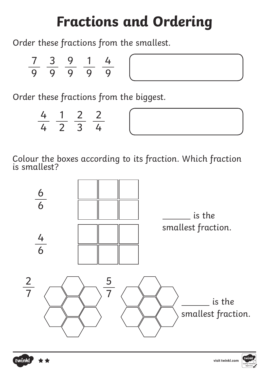Order these fractions from the smallest.

| 7 <sup>7</sup> | $\mathbb{R}^2$ | $\mathbf{z}$ | $\overline{1}$ |   |  |
|----------------|----------------|--------------|----------------|---|--|
| 9              | $\mathbf Q$    | <b>9</b>     | $\mathbf Q$    | 0 |  |

Order these fractions from the biggest.

|  | 4 1 2 2 |  |  |
|--|---------|--|--|
|  | 4 2 3 4 |  |  |





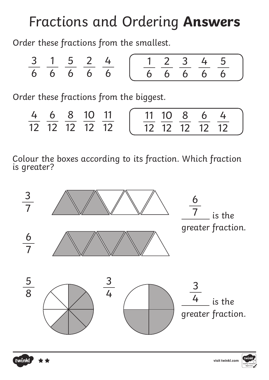Order these fractions from the smallest.

$$
\frac{3}{6} \quad \frac{1}{6} \quad \frac{5}{6} \quad \frac{2}{6} \quad \frac{4}{6} \quad \left( \frac{1}{6} \quad \frac{2}{6} \quad \frac{3}{6} \quad \frac{4}{6} \quad \frac{5}{6} \right)
$$

Order these fractions from the biggest.

|  | 4 6 8 10 11    |  |  | (1110864)      |  |
|--|----------------|--|--|----------------|--|
|  | 12 12 12 12 12 |  |  | 12 12 12 12 12 |  |





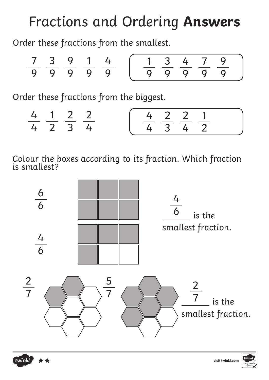Order these fractions from the smallest.

$$
\frac{7}{9} \quad \frac{3}{9} \quad \frac{9}{9} \quad \frac{1}{9} \quad \frac{4}{9} \quad \left( \frac{1}{9} \quad \frac{3}{9} \quad \frac{4}{9} \quad \frac{7}{9} \quad \frac{9}{9} \right)
$$

Order these fractions from the biggest.

|  | 4 1 2 2 |  |  | 4 2 2 1 |  |  |  |  |  |  |  |  |  |  |  |  |  |  |  |  |  |  |  |  |  |  |  |  |  |  |  |  |  |  |  |  |  |  |  |  |  |  |  |  |  |  |  |  |  |  |  |  |  |  |  |  |  |  |  |  |  |  |  |  |  |  |  |  |  |  |  |  |  |
|--|---------|--|--|---------|--|--|--|--|--|--|--|--|--|--|--|--|--|--|--|--|--|--|--|--|--|--|--|--|--|--|--|--|--|--|--|--|--|--|--|--|--|--|--|--|--|--|--|--|--|--|--|--|--|--|--|--|--|--|--|--|--|--|--|--|--|--|--|--|--|--|--|--|--|
|  | 4 2 3 4 |  |  | 4 3 4 2 |  |  |  |  |  |  |  |  |  |  |  |  |  |  |  |  |  |  |  |  |  |  |  |  |  |  |  |  |  |  |  |  |  |  |  |  |  |  |  |  |  |  |  |  |  |  |  |  |  |  |  |  |  |  |  |  |  |  |  |  |  |  |  |  |  |  |  |  |  |





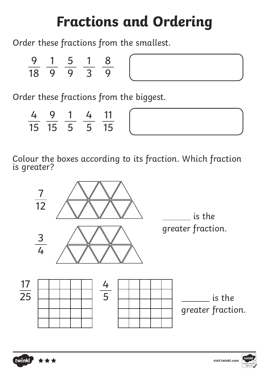Order these fractions from the smallest.

| 9  |              |   |               |  |
|----|--------------|---|---------------|--|
| 18 | $\mathbf{U}$ | 0 | $\mathcal{R}$ |  |

Order these fractions from the biggest.

| 4 9 1 4 11   |  |  |
|--------------|--|--|
| 15 15 5 5 15 |  |  |